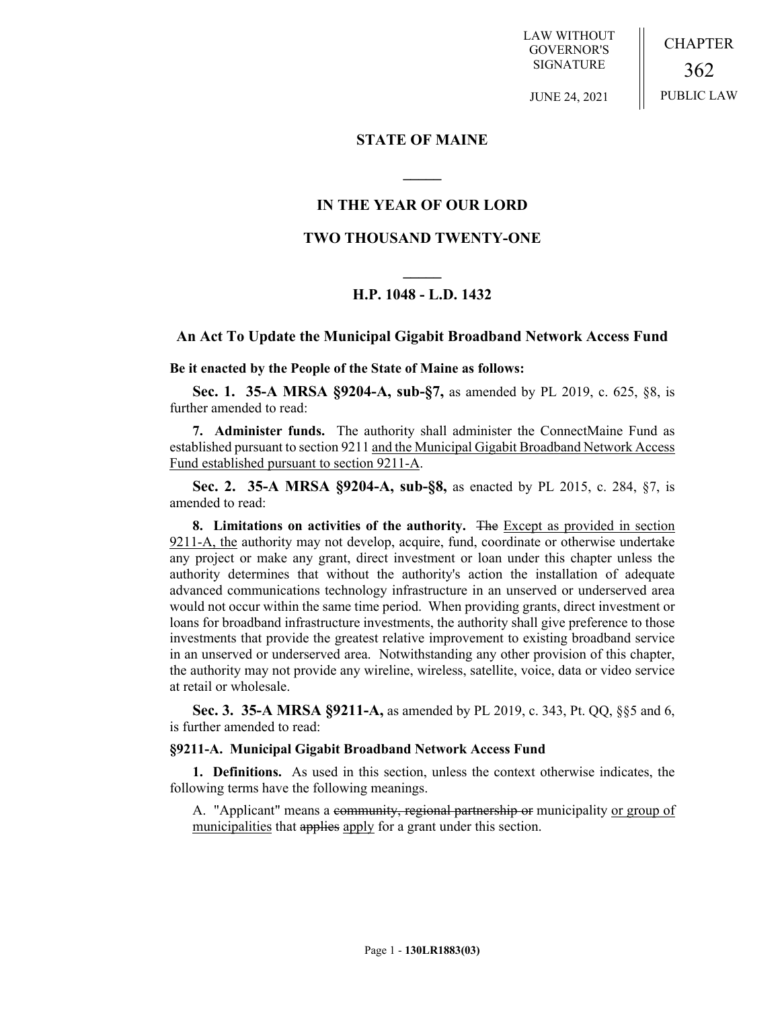LAW WITHOUT GOVERNOR'S SIGNATURE

JUNE 24, 2021

CHAPTER 362 PUBLIC LAW

## **STATE OF MAINE**

**\_\_\_\_\_**

## **IN THE YEAR OF OUR LORD**

## **TWO THOUSAND TWENTY-ONE**

# **\_\_\_\_\_ H.P. 1048 - L.D. 1432**

### **An Act To Update the Municipal Gigabit Broadband Network Access Fund**

**Be it enacted by the People of the State of Maine as follows:**

**Sec. 1. 35-A MRSA §9204-A, sub-§7,** as amended by PL 2019, c. 625, §8, is further amended to read:

**7. Administer funds.** The authority shall administer the ConnectMaine Fund as established pursuant to section 9211 and the Municipal Gigabit Broadband Network Access Fund established pursuant to section 9211-A.

**Sec. 2. 35-A MRSA §9204-A, sub-§8,** as enacted by PL 2015, c. 284, §7, is amended to read:

**8. Limitations on activities of the authority.** The Except as provided in section 9211-A, the authority may not develop, acquire, fund, coordinate or otherwise undertake any project or make any grant, direct investment or loan under this chapter unless the authority determines that without the authority's action the installation of adequate advanced communications technology infrastructure in an unserved or underserved area would not occur within the same time period. When providing grants, direct investment or loans for broadband infrastructure investments, the authority shall give preference to those investments that provide the greatest relative improvement to existing broadband service in an unserved or underserved area. Notwithstanding any other provision of this chapter, the authority may not provide any wireline, wireless, satellite, voice, data or video service at retail or wholesale.

**Sec. 3. 35-A MRSA §9211-A,** as amended by PL 2019, c. 343, Pt. QQ, §§5 and 6, is further amended to read:

#### **§9211-A. Municipal Gigabit Broadband Network Access Fund**

**1. Definitions.** As used in this section, unless the context otherwise indicates, the following terms have the following meanings.

A. "Applicant" means a community, regional partnership or municipality or group of municipalities that applies apply for a grant under this section.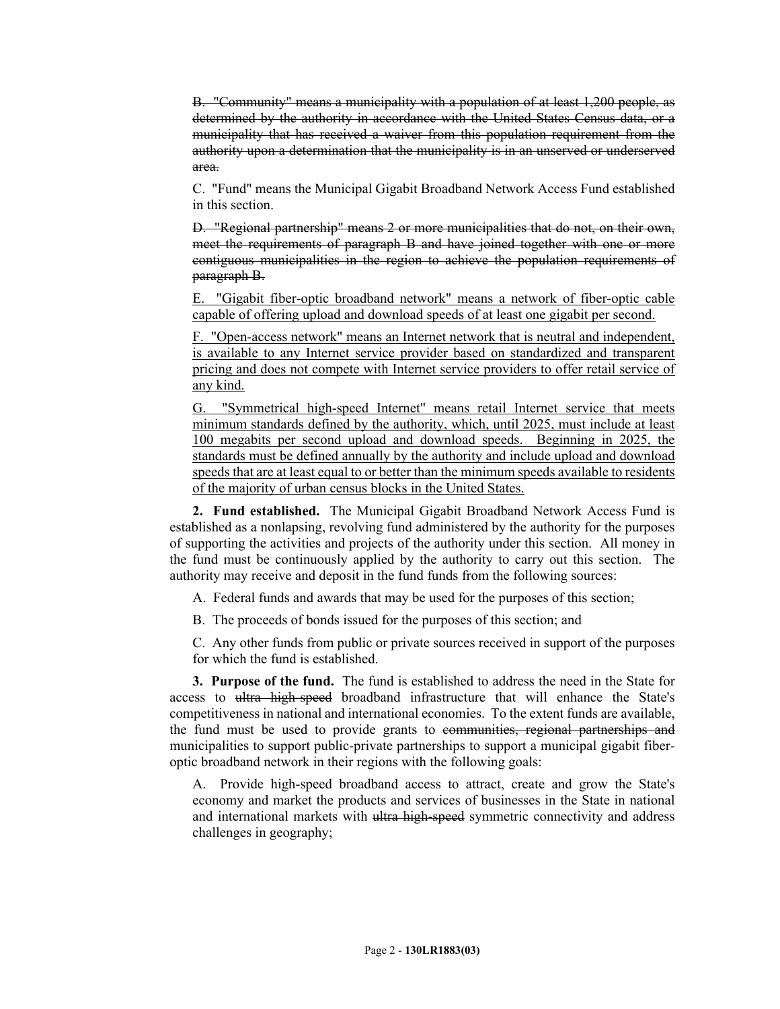B. "Community" means a municipality with a population of at least 1,200 people, as determined by the authority in accordance with the United States Census data, or a municipality that has received a waiver from this population requirement from the authority upon a determination that the municipality is in an unserved or underserved area.

C. "Fund" means the Municipal Gigabit Broadband Network Access Fund established in this section.

D. "Regional partnership" means 2 or more municipalities that do not, on their own, meet the requirements of paragraph B and have joined together with one or more contiguous municipalities in the region to achieve the population requirements of paragraph B.

E. "Gigabit fiber-optic broadband network" means a network of fiber-optic cable capable of offering upload and download speeds of at least one gigabit per second.

F. "Open-access network" means an Internet network that is neutral and independent, is available to any Internet service provider based on standardized and transparent pricing and does not compete with Internet service providers to offer retail service of any kind.

G. "Symmetrical high-speed Internet" means retail Internet service that meets minimum standards defined by the authority, which, until 2025, must include at least 100 megabits per second upload and download speeds. Beginning in 2025, the standards must be defined annually by the authority and include upload and download speeds that are at least equal to or better than the minimum speeds available to residents of the majority of urban census blocks in the United States.

**2. Fund established.** The Municipal Gigabit Broadband Network Access Fund is established as a nonlapsing, revolving fund administered by the authority for the purposes of supporting the activities and projects of the authority under this section. All money in the fund must be continuously applied by the authority to carry out this section. The authority may receive and deposit in the fund funds from the following sources:

A. Federal funds and awards that may be used for the purposes of this section;

B. The proceeds of bonds issued for the purposes of this section; and

C. Any other funds from public or private sources received in support of the purposes for which the fund is established.

**3. Purpose of the fund.** The fund is established to address the need in the State for access to ultra high-speed broadband infrastructure that will enhance the State's competitiveness in national and international economies. To the extent funds are available, the fund must be used to provide grants to communities, regional partnerships and municipalities to support public-private partnerships to support a municipal gigabit fiberoptic broadband network in their regions with the following goals:

A. Provide high-speed broadband access to attract, create and grow the State's economy and market the products and services of businesses in the State in national and international markets with <del>ultra high-speed</del> symmetric connectivity and address challenges in geography;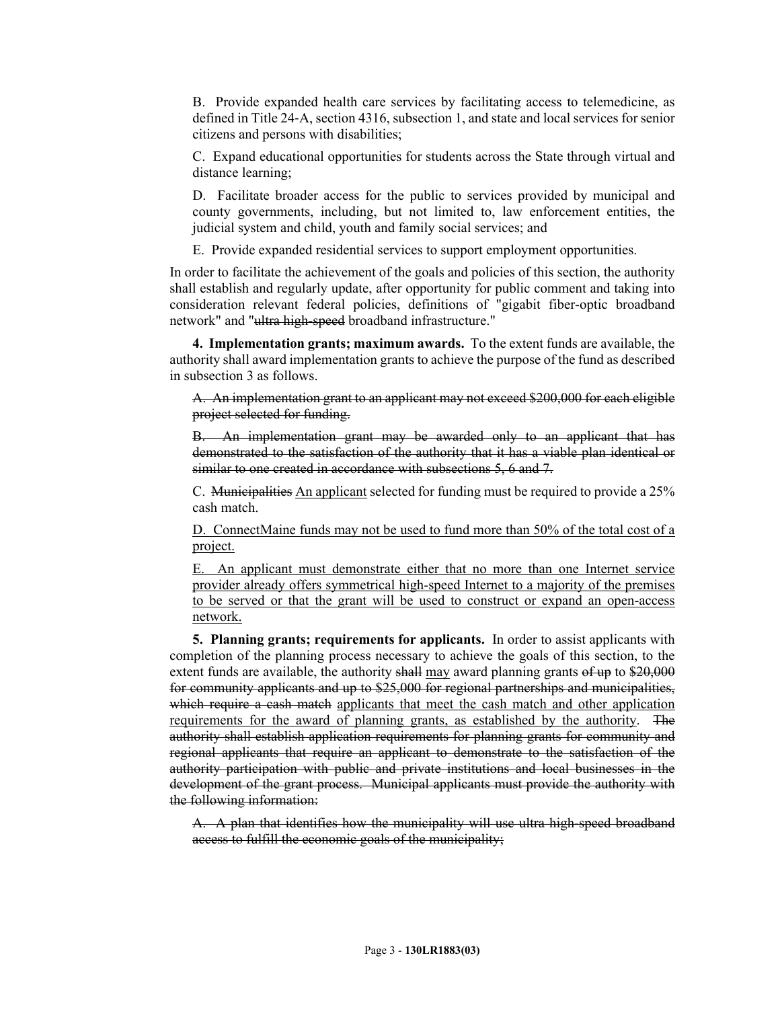B. Provide expanded health care services by facilitating access to telemedicine, as defined in Title 24‑A, section 4316, subsection 1, and state and local services for senior citizens and persons with disabilities;

C. Expand educational opportunities for students across the State through virtual and distance learning;

D. Facilitate broader access for the public to services provided by municipal and county governments, including, but not limited to, law enforcement entities, the judicial system and child, youth and family social services; and

E. Provide expanded residential services to support employment opportunities.

In order to facilitate the achievement of the goals and policies of this section, the authority shall establish and regularly update, after opportunity for public comment and taking into consideration relevant federal policies, definitions of "gigabit fiber-optic broadband network" and "ultra high-speed broadband infrastructure."

**4. Implementation grants; maximum awards.** To the extent funds are available, the authority shall award implementation grants to achieve the purpose of the fund as described in subsection 3 as follows.

A. An implementation grant to an applicant may not exceed \$200,000 for each eligible project selected for funding.

B. An implementation grant may be awarded only to an applicant that has demonstrated to the satisfaction of the authority that it has a viable plan identical or similar to one created in accordance with subsections 5, 6 and 7.

C. Municipalities An applicant selected for funding must be required to provide a 25% cash match.

D. ConnectMaine funds may not be used to fund more than 50% of the total cost of a project.

E. An applicant must demonstrate either that no more than one Internet service provider already offers symmetrical high-speed Internet to a majority of the premises to be served or that the grant will be used to construct or expand an open-access network.

**5. Planning grants; requirements for applicants.** In order to assist applicants with completion of the planning process necessary to achieve the goals of this section, to the extent funds are available, the authority shall may award planning grants of up to \$20,000 for community applicants and up to \$25,000 for regional partnerships and municipalities, which require a cash match applicants that meet the cash match and other application requirements for the award of planning grants, as established by the authority. The authority shall establish application requirements for planning grants for community and regional applicants that require an applicant to demonstrate to the satisfaction of the authority participation with public and private institutions and local businesses in the development of the grant process. Municipal applicants must provide the authority with the following information:

A. A plan that identifies how the municipality will use ultra high-speed broadband access to fulfill the economic goals of the municipality;